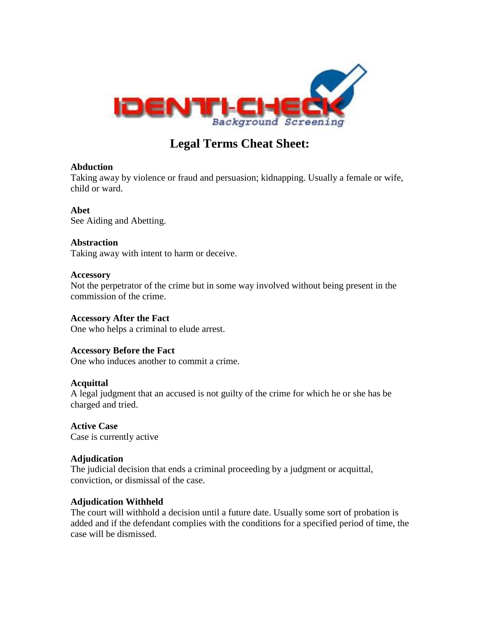

# **Legal Terms Cheat Sheet:**

# **Abduction**

Taking away by violence or fraud and persuasion; kidnapping. Usually a female or wife, child or ward.

# **Abet**

See Aiding and Abetting.

# **Abstraction**

Taking away with intent to harm or deceive.

# **Accessory**

Not the perpetrator of the crime but in some way involved without being present in the commission of the crime.

# **Accessory After the Fact**

One who helps a criminal to elude arrest.

# **Accessory Before the Fact**

One who induces another to commit a crime.

# **Acquittal**

A legal judgment that an accused is not guilty of the crime for which he or she has be charged and tried.

**Active Case** Case is currently active

# **Adjudication**

The judicial decision that ends a criminal proceeding by a judgment or acquittal, conviction, or dismissal of the case.

# **Adjudication Withheld**

The court will withhold a decision until a future date. Usually some sort of probation is added and if the defendant complies with the conditions for a specified period of time, the case will be dismissed.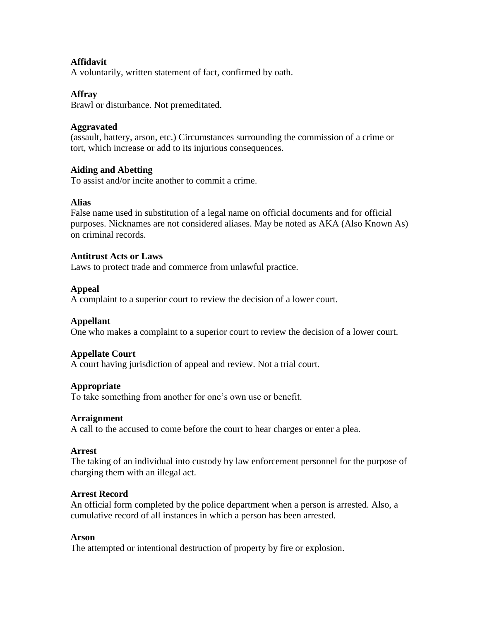# **Affidavit**

A voluntarily, written statement of fact, confirmed by oath.

#### **Affray**

Brawl or disturbance. Not premeditated.

#### **Aggravated**

(assault, battery, arson, etc.) Circumstances surrounding the commission of a crime or tort, which increase or add to its injurious consequences.

#### **Aiding and Abetting**

To assist and/or incite another to commit a crime.

#### **Alias**

False name used in substitution of a legal name on official documents and for official purposes. Nicknames are not considered aliases. May be noted as AKA (Also Known As) on criminal records.

#### **Antitrust Acts or Laws**

Laws to protect trade and commerce from unlawful practice.

#### **Appeal**

A complaint to a superior court to review the decision of a lower court.

#### **Appellant**

One who makes a complaint to a superior court to review the decision of a lower court.

#### **Appellate Court**

A court having jurisdiction of appeal and review. Not a trial court.

#### **Appropriate**

To take something from another for one's own use or benefit.

#### **Arraignment**

A call to the accused to come before the court to hear charges or enter a plea.

#### **Arrest**

The taking of an individual into custody by law enforcement personnel for the purpose of charging them with an illegal act.

#### **Arrest Record**

An official form completed by the police department when a person is arrested. Also, a cumulative record of all instances in which a person has been arrested.

#### **Arson**

The attempted or intentional destruction of property by fire or explosion.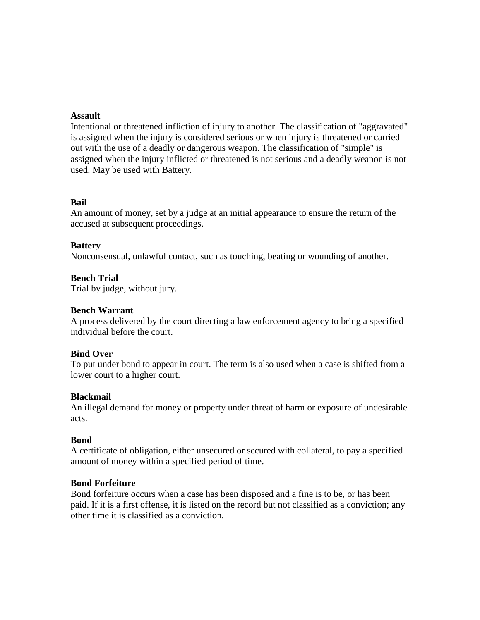#### **Assault**

Intentional or threatened infliction of injury to another. The classification of "aggravated" is assigned when the injury is considered serious or when injury is threatened or carried out with the use of a deadly or dangerous weapon. The classification of "simple" is assigned when the injury inflicted or threatened is not serious and a deadly weapon is not used. May be used with Battery.

#### **Bail**

An amount of money, set by a judge at an initial appearance to ensure the return of the accused at subsequent proceedings.

#### **Battery**

Nonconsensual, unlawful contact, such as touching, beating or wounding of another.

#### **Bench Trial**

Trial by judge, without jury.

#### **Bench Warrant**

A process delivered by the court directing a law enforcement agency to bring a specified individual before the court.

#### **Bind Over**

To put under bond to appear in court. The term is also used when a case is shifted from a lower court to a higher court.

#### **Blackmail**

An illegal demand for money or property under threat of harm or exposure of undesirable acts.

#### **Bond**

A certificate of obligation, either unsecured or secured with collateral, to pay a specified amount of money within a specified period of time.

#### **Bond Forfeiture**

Bond forfeiture occurs when a case has been disposed and a fine is to be, or has been paid. If it is a first offense, it is listed on the record but not classified as a conviction; any other time it is classified as a conviction.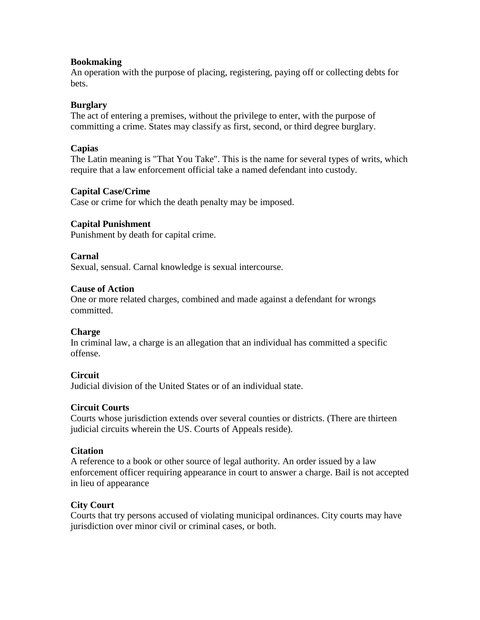### **Bookmaking**

An operation with the purpose of placing, registering, paying off or collecting debts for bets.

# **Burglary**

The act of entering a premises, without the privilege to enter, with the purpose of committing a crime. States may classify as first, second, or third degree burglary.

# **Capias**

The Latin meaning is "That You Take". This is the name for several types of writs, which require that a law enforcement official take a named defendant into custody.

# **Capital Case/Crime**

Case or crime for which the death penalty may be imposed.

# **Capital Punishment**

Punishment by death for capital crime.

# **Carnal**

Sexual, sensual. Carnal knowledge is sexual intercourse.

# **Cause of Action**

One or more related charges, combined and made against a defendant for wrongs committed.

# **Charge**

In criminal law, a charge is an allegation that an individual has committed a specific offense.

# **Circuit**

Judicial division of the United States or of an individual state.

# **Circuit Courts**

Courts whose jurisdiction extends over several counties or districts. (There are thirteen judicial circuits wherein the US. Courts of Appeals reside).

# **Citation**

A reference to a book or other source of legal authority. An order issued by a law enforcement officer requiring appearance in court to answer a charge. Bail is not accepted in lieu of appearance

# **City Court**

Courts that try persons accused of violating municipal ordinances. City courts may have jurisdiction over minor civil or criminal cases, or both.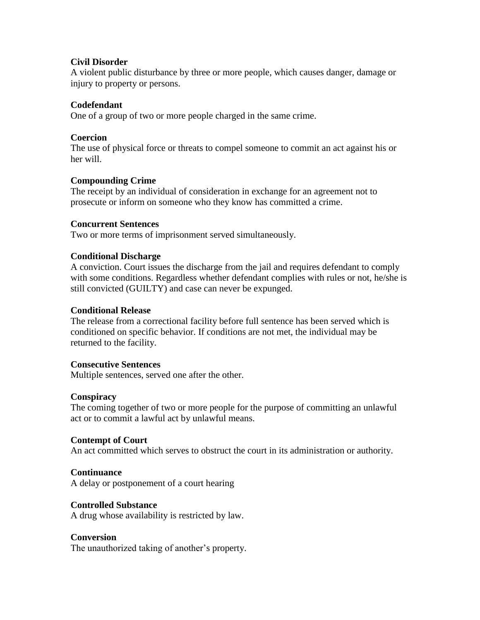# **Civil Disorder**

A violent public disturbance by three or more people, which causes danger, damage or injury to property or persons.

# **Codefendant**

One of a group of two or more people charged in the same crime.

### **Coercion**

The use of physical force or threats to compel someone to commit an act against his or her will.

# **Compounding Crime**

The receipt by an individual of consideration in exchange for an agreement not to prosecute or inform on someone who they know has committed a crime.

#### **Concurrent Sentences**

Two or more terms of imprisonment served simultaneously.

# **Conditional Discharge**

A conviction. Court issues the discharge from the jail and requires defendant to comply with some conditions. Regardless whether defendant complies with rules or not, he/she is still convicted (GUILTY) and case can never be expunged.

#### **Conditional Release**

The release from a correctional facility before full sentence has been served which is conditioned on specific behavior. If conditions are not met, the individual may be returned to the facility.

#### **Consecutive Sentences**

Multiple sentences, served one after the other.

#### **Conspiracy**

The coming together of two or more people for the purpose of committing an unlawful act or to commit a lawful act by unlawful means.

#### **Contempt of Court**

An act committed which serves to obstruct the court in its administration or authority.

#### **Continuance**

A delay or postponement of a court hearing

#### **Controlled Substance**

A drug whose availability is restricted by law.

#### **Conversion**

The unauthorized taking of another's property.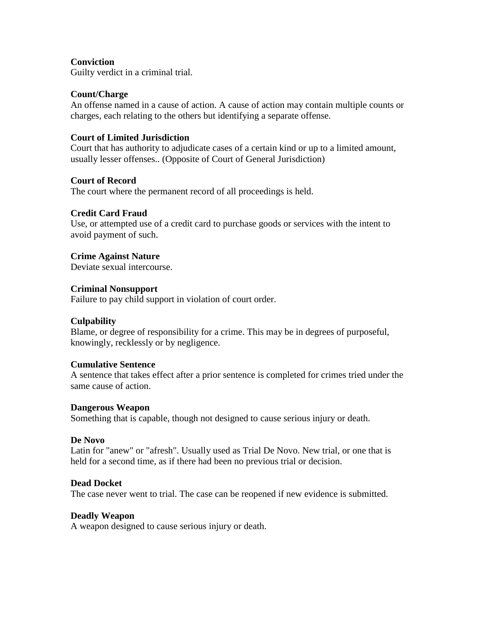# **Conviction**

Guilty verdict in a criminal trial.

#### **Count/Charge**

An offense named in a cause of action. A cause of action may contain multiple counts or charges, each relating to the others but identifying a separate offense.

### **Court of Limited Jurisdiction**

Court that has authority to adjudicate cases of a certain kind or up to a limited amount, usually lesser offenses.. (Opposite of Court of General Jurisdiction)

#### **Court of Record**

The court where the permanent record of all proceedings is held.

#### **Credit Card Fraud**

Use, or attempted use of a credit card to purchase goods or services with the intent to avoid payment of such.

#### **Crime Against Nature**

Deviate sexual intercourse.

#### **Criminal Nonsupport**

Failure to pay child support in violation of court order.

#### **Culpability**

Blame, or degree of responsibility for a crime. This may be in degrees of purposeful, knowingly, recklessly or by negligence.

#### **Cumulative Sentence**

A sentence that takes effect after a prior sentence is completed for crimes tried under the same cause of action.

#### **Dangerous Weapon**

Something that is capable, though not designed to cause serious injury or death.

#### **De Novo**

Latin for "anew" or "afresh". Usually used as Trial De Novo. New trial, or one that is held for a second time, as if there had been no previous trial or decision.

#### **Dead Docket**

The case never went to trial. The case can be reopened if new evidence is submitted.

#### **Deadly Weapon**

A weapon designed to cause serious injury or death.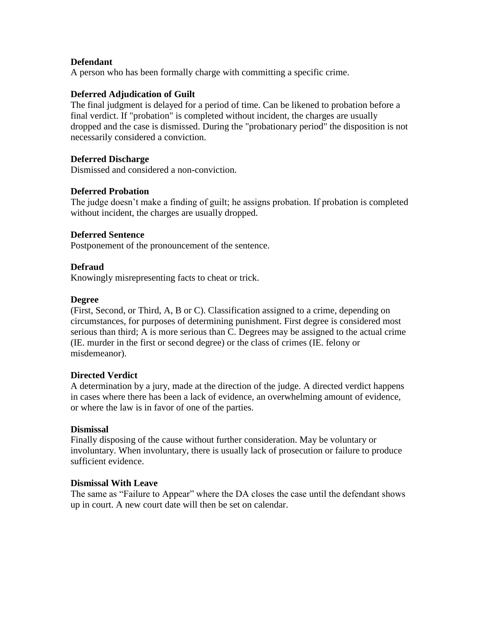# **Defendant**

A person who has been formally charge with committing a specific crime.

### **Deferred Adjudication of Guilt**

The final judgment is delayed for a period of time. Can be likened to probation before a final verdict. If "probation" is completed without incident, the charges are usually dropped and the case is dismissed. During the "probationary period" the disposition is not necessarily considered a conviction.

### **Deferred Discharge**

Dismissed and considered a non-conviction.

# **Deferred Probation**

The judge doesn't make a finding of guilt; he assigns probation. If probation is completed without incident, the charges are usually dropped.

#### **Deferred Sentence**

Postponement of the pronouncement of the sentence.

# **Defraud**

Knowingly misrepresenting facts to cheat or trick.

#### **Degree**

(First, Second, or Third, A, B or C). Classification assigned to a crime, depending on circumstances, for purposes of determining punishment. First degree is considered most serious than third; A is more serious than C. Degrees may be assigned to the actual crime (IE. murder in the first or second degree) or the class of crimes (IE. felony or misdemeanor).

#### **Directed Verdict**

A determination by a jury, made at the direction of the judge. A directed verdict happens in cases where there has been a lack of evidence, an overwhelming amount of evidence, or where the law is in favor of one of the parties.

#### **Dismissal**

Finally disposing of the cause without further consideration. May be voluntary or involuntary. When involuntary, there is usually lack of prosecution or failure to produce sufficient evidence.

### **Dismissal With Leave**

The same as "Failure to Appear" where the DA closes the case until the defendant shows up in court. A new court date will then be set on calendar.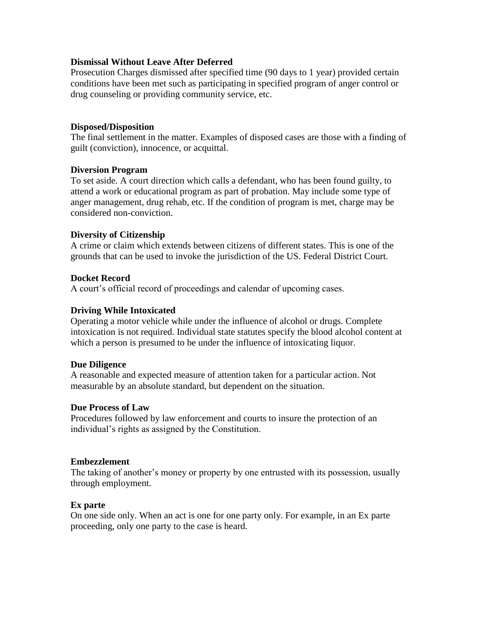#### **Dismissal Without Leave After Deferred**

Prosecution Charges dismissed after specified time (90 days to 1 year) provided certain conditions have been met such as participating in specified program of anger control or drug counseling or providing community service, etc.

#### **Disposed/Disposition**

The final settlement in the matter. Examples of disposed cases are those with a finding of guilt (conviction), innocence, or acquittal.

#### **Diversion Program**

To set aside. A court direction which calls a defendant, who has been found guilty, to attend a work or educational program as part of probation. May include some type of anger management, drug rehab, etc. If the condition of program is met, charge may be considered non-conviction.

#### **Diversity of Citizenship**

A crime or claim which extends between citizens of different states. This is one of the grounds that can be used to invoke the jurisdiction of the US. Federal District Court.

#### **Docket Record**

A court's official record of proceedings and calendar of upcoming cases.

#### **Driving While Intoxicated**

Operating a motor vehicle while under the influence of alcohol or drugs. Complete intoxication is not required. Individual state statutes specify the blood alcohol content at which a person is presumed to be under the influence of intoxicating liquor.

#### **Due Diligence**

A reasonable and expected measure of attention taken for a particular action. Not measurable by an absolute standard, but dependent on the situation.

#### **Due Process of Law**

Procedures followed by law enforcement and courts to insure the protection of an individual's rights as assigned by the Constitution.

#### **Embezzlement**

The taking of another's money or property by one entrusted with its possession, usually through employment.

#### **Ex parte**

On one side only. When an act is one for one party only. For example, in an Ex parte proceeding, only one party to the case is heard.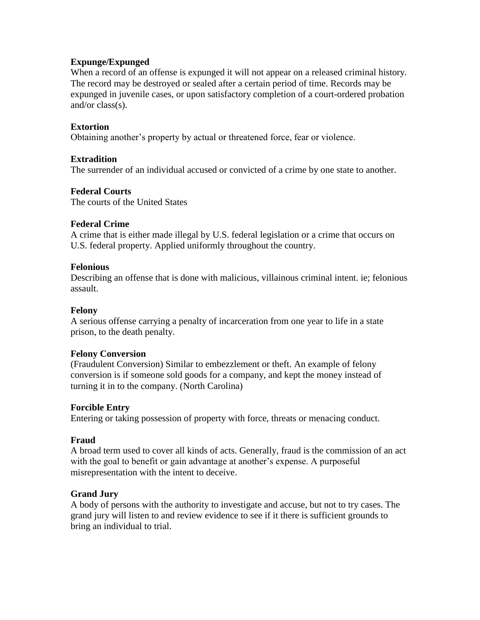### **Expunge/Expunged**

When a record of an offense is expunged it will not appear on a released criminal history. The record may be destroyed or sealed after a certain period of time. Records may be expunged in juvenile cases, or upon satisfactory completion of a court-ordered probation and/or class(s).

# **Extortion**

Obtaining another's property by actual or threatened force, fear or violence.

### **Extradition**

The surrender of an individual accused or convicted of a crime by one state to another.

#### **Federal Courts**

The courts of the United States

#### **Federal Crime**

A crime that is either made illegal by U.S. federal legislation or a crime that occurs on U.S. federal property. Applied uniformly throughout the country.

#### **Felonious**

Describing an offense that is done with malicious, villainous criminal intent. ie; felonious assault.

### **Felony**

A serious offense carrying a penalty of incarceration from one year to life in a state prison, to the death penalty.

#### **Felony Conversion**

(Fraudulent Conversion) Similar to embezzlement or theft. An example of felony conversion is if someone sold goods for a company, and kept the money instead of turning it in to the company. (North Carolina)

#### **Forcible Entry**

Entering or taking possession of property with force, threats or menacing conduct.

#### **Fraud**

A broad term used to cover all kinds of acts. Generally, fraud is the commission of an act with the goal to benefit or gain advantage at another's expense. A purposeful misrepresentation with the intent to deceive.

#### **Grand Jury**

A body of persons with the authority to investigate and accuse, but not to try cases. The grand jury will listen to and review evidence to see if it there is sufficient grounds to bring an individual to trial.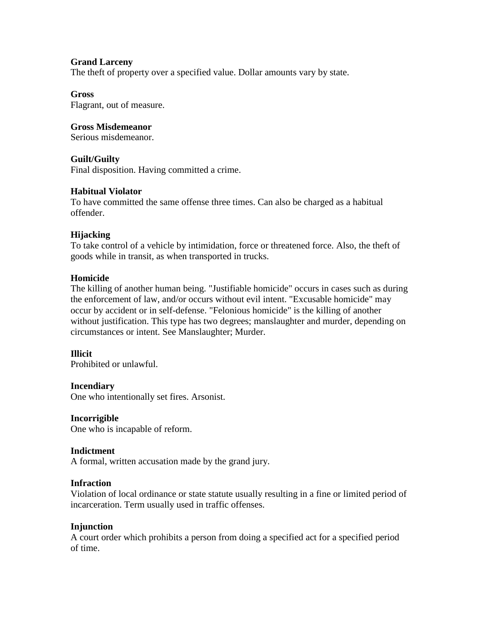# **Grand Larceny**

The theft of property over a specified value. Dollar amounts vary by state.

#### **Gross**

Flagrant, out of measure.

### **Gross Misdemeanor**

Serious misdemeanor.

#### **Guilt/Guilty**

Final disposition. Having committed a crime.

# **Habitual Violator**

To have committed the same offense three times. Can also be charged as a habitual offender.

#### **Hijacking**

To take control of a vehicle by intimidation, force or threatened force. Also, the theft of goods while in transit, as when transported in trucks.

#### **Homicide**

The killing of another human being. "Justifiable homicide" occurs in cases such as during the enforcement of law, and/or occurs without evil intent. "Excusable homicide" may occur by accident or in self-defense. "Felonious homicide" is the killing of another without justification. This type has two degrees; manslaughter and murder, depending on circumstances or intent. See Manslaughter; Murder.

#### **Illicit**

Prohibited or unlawful.

#### **Incendiary**

One who intentionally set fires. Arsonist.

#### **Incorrigible**

One who is incapable of reform.

#### **Indictment**

A formal, written accusation made by the grand jury.

### **Infraction**

Violation of local ordinance or state statute usually resulting in a fine or limited period of incarceration. Term usually used in traffic offenses.

#### **Injunction**

A court order which prohibits a person from doing a specified act for a specified period of time.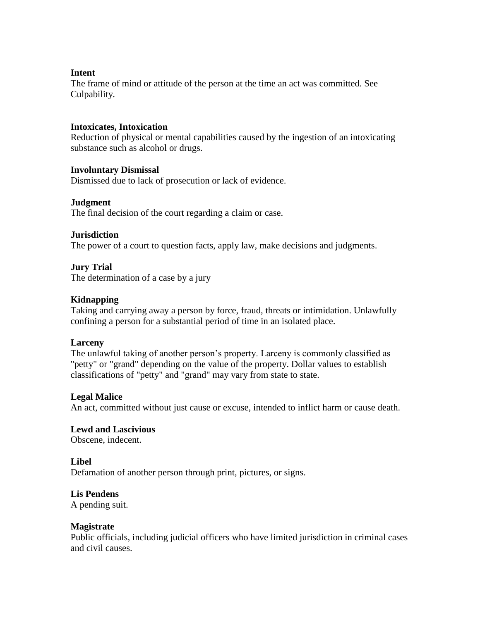#### **Intent**

The frame of mind or attitude of the person at the time an act was committed. See Culpability.

# **Intoxicates, Intoxication**

Reduction of physical or mental capabilities caused by the ingestion of an intoxicating substance such as alcohol or drugs.

#### **Involuntary Dismissal**

Dismissed due to lack of prosecution or lack of evidence.

#### **Judgment**

The final decision of the court regarding a claim or case.

#### **Jurisdiction**

The power of a court to question facts, apply law, make decisions and judgments.

#### **Jury Trial**

The determination of a case by a jury

#### **Kidnapping**

Taking and carrying away a person by force, fraud, threats or intimidation. Unlawfully confining a person for a substantial period of time in an isolated place.

#### **Larceny**

The unlawful taking of another person's property. Larceny is commonly classified as "petty" or "grand" depending on the value of the property. Dollar values to establish classifications of "petty" and "grand" may vary from state to state.

#### **Legal Malice**

An act, committed without just cause or excuse, intended to inflict harm or cause death.

# **Lewd and Lascivious**

Obscene, indecent.

#### **Libel**

Defamation of another person through print, pictures, or signs.

#### **Lis Pendens**

A pending suit.

#### **Magistrate**

Public officials, including judicial officers who have limited jurisdiction in criminal cases and civil causes.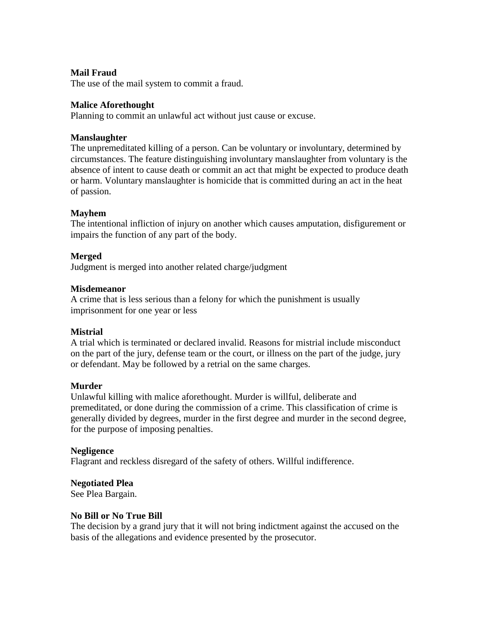### **Mail Fraud**

The use of the mail system to commit a fraud.

#### **Malice Aforethought**

Planning to commit an unlawful act without just cause or excuse.

#### **Manslaughter**

The unpremeditated killing of a person. Can be voluntary or involuntary, determined by circumstances. The feature distinguishing involuntary manslaughter from voluntary is the absence of intent to cause death or commit an act that might be expected to produce death or harm. Voluntary manslaughter is homicide that is committed during an act in the heat of passion.

#### **Mayhem**

The intentional infliction of injury on another which causes amputation, disfigurement or impairs the function of any part of the body.

#### **Merged**

Judgment is merged into another related charge/judgment

#### **Misdemeanor**

A crime that is less serious than a felony for which the punishment is usually imprisonment for one year or less

#### **Mistrial**

A trial which is terminated or declared invalid. Reasons for mistrial include misconduct on the part of the jury, defense team or the court, or illness on the part of the judge, jury or defendant. May be followed by a retrial on the same charges.

#### **Murder**

Unlawful killing with malice aforethought. Murder is willful, deliberate and premeditated, or done during the commission of a crime. This classification of crime is generally divided by degrees, murder in the first degree and murder in the second degree, for the purpose of imposing penalties.

#### **Negligence**

Flagrant and reckless disregard of the safety of others. Willful indifference.

# **Negotiated Plea**

See Plea Bargain.

#### **No Bill or No True Bill**

The decision by a grand jury that it will not bring indictment against the accused on the basis of the allegations and evidence presented by the prosecutor.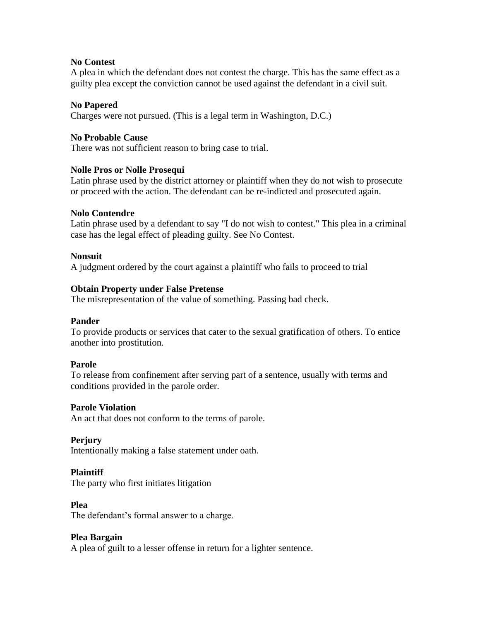### **No Contest**

A plea in which the defendant does not contest the charge. This has the same effect as a guilty plea except the conviction cannot be used against the defendant in a civil suit.

# **No Papered**

Charges were not pursued. (This is a legal term in Washington, D.C.)

# **No Probable Cause**

There was not sufficient reason to bring case to trial.

# **Nolle Pros or Nolle Prosequi**

Latin phrase used by the district attorney or plaintiff when they do not wish to prosecute or proceed with the action. The defendant can be re-indicted and prosecuted again.

#### **Nolo Contendre**

Latin phrase used by a defendant to say "I do not wish to contest." This plea in a criminal case has the legal effect of pleading guilty. See No Contest.

# **Nonsuit**

A judgment ordered by the court against a plaintiff who fails to proceed to trial

# **Obtain Property under False Pretense**

The misrepresentation of the value of something. Passing bad check.

#### **Pander**

To provide products or services that cater to the sexual gratification of others. To entice another into prostitution.

#### **Parole**

To release from confinement after serving part of a sentence, usually with terms and conditions provided in the parole order.

#### **Parole Violation**

An act that does not conform to the terms of parole.

#### **Perjury**

Intentionally making a false statement under oath.

#### **Plaintiff**

The party who first initiates litigation

#### **Plea**

The defendant's formal answer to a charge.

#### **Plea Bargain**

A plea of guilt to a lesser offense in return for a lighter sentence.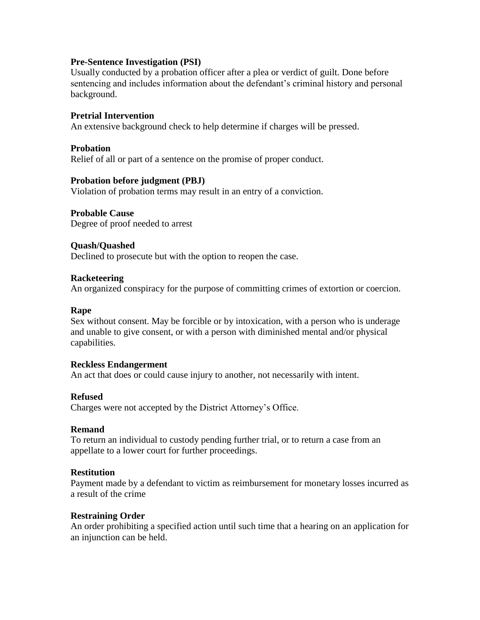### **Pre-Sentence Investigation (PSI)**

Usually conducted by a probation officer after a plea or verdict of guilt. Done before sentencing and includes information about the defendant's criminal history and personal background.

### **Pretrial Intervention**

An extensive background check to help determine if charges will be pressed.

#### **Probation**

Relief of all or part of a sentence on the promise of proper conduct.

# **Probation before judgment (PBJ)**

Violation of probation terms may result in an entry of a conviction.

# **Probable Cause**

Degree of proof needed to arrest

# **Quash/Quashed**

Declined to prosecute but with the option to reopen the case.

#### **Racketeering**

An organized conspiracy for the purpose of committing crimes of extortion or coercion.

# **Rape**

Sex without consent. May be forcible or by intoxication, with a person who is underage and unable to give consent, or with a person with diminished mental and/or physical capabilities.

#### **Reckless Endangerment**

An act that does or could cause injury to another, not necessarily with intent.

# **Refused**

Charges were not accepted by the District Attorney's Office.

#### **Remand**

To return an individual to custody pending further trial, or to return a case from an appellate to a lower court for further proceedings.

#### **Restitution**

Payment made by a defendant to victim as reimbursement for monetary losses incurred as a result of the crime

#### **Restraining Order**

An order prohibiting a specified action until such time that a hearing on an application for an injunction can be held.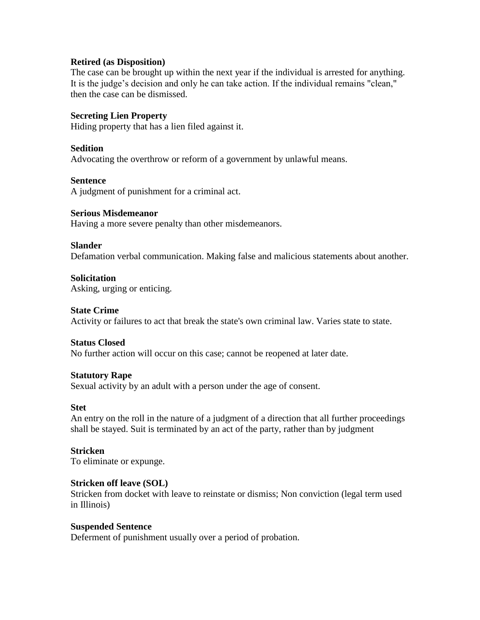#### **Retired (as Disposition)**

The case can be brought up within the next year if the individual is arrested for anything. It is the judge's decision and only he can take action. If the individual remains "clean," then the case can be dismissed.

### **Secreting Lien Property**

Hiding property that has a lien filed against it.

#### **Sedition**

Advocating the overthrow or reform of a government by unlawful means.

#### **Sentence**

A judgment of punishment for a criminal act.

#### **Serious Misdemeanor**

Having a more severe penalty than other misdemeanors.

#### **Slander**

Defamation verbal communication. Making false and malicious statements about another.

#### **Solicitation**

Asking, urging or enticing.

#### **State Crime**

Activity or failures to act that break the state's own criminal law. Varies state to state.

#### **Status Closed**

No further action will occur on this case; cannot be reopened at later date.

#### **Statutory Rape**

Sexual activity by an adult with a person under the age of consent.

#### **Stet**

An entry on the roll in the nature of a judgment of a direction that all further proceedings shall be stayed. Suit is terminated by an act of the party, rather than by judgment

#### **Stricken**

To eliminate or expunge.

#### **Stricken off leave (SOL)**

Stricken from docket with leave to reinstate or dismiss; Non conviction (legal term used in Illinois)

#### **Suspended Sentence**

Deferment of punishment usually over a period of probation.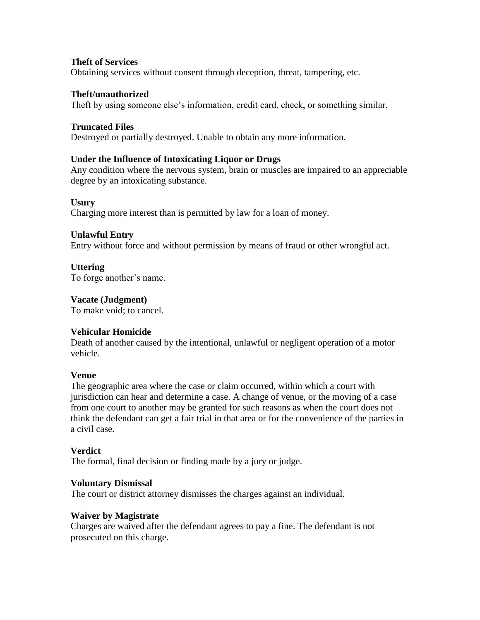# **Theft of Services**

Obtaining services without consent through deception, threat, tampering, etc.

### **Theft/unauthorized**

Theft by using someone else's information, credit card, check, or something similar.

# **Truncated Files**

Destroyed or partially destroyed. Unable to obtain any more information.

# **Under the Influence of Intoxicating Liquor or Drugs**

Any condition where the nervous system, brain or muscles are impaired to an appreciable degree by an intoxicating substance.

# **Usury**

Charging more interest than is permitted by law for a loan of money.

# **Unlawful Entry**

Entry without force and without permission by means of fraud or other wrongful act.

# **Uttering**

To forge another's name.

# **Vacate (Judgment)**

To make void; to cancel.

# **Vehicular Homicide**

Death of another caused by the intentional, unlawful or negligent operation of a motor vehicle.

#### **Venue**

The geographic area where the case or claim occurred, within which a court with jurisdiction can hear and determine a case. A change of venue, or the moving of a case from one court to another may be granted for such reasons as when the court does not think the defendant can get a fair trial in that area or for the convenience of the parties in a civil case.

#### **Verdict**

The formal, final decision or finding made by a jury or judge.

#### **Voluntary Dismissal**

The court or district attorney dismisses the charges against an individual.

#### **Waiver by Magistrate**

Charges are waived after the defendant agrees to pay a fine. The defendant is not prosecuted on this charge.